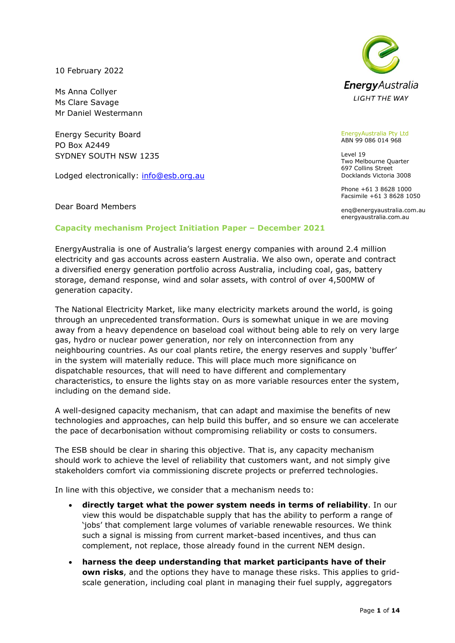10 February 2022

Ms Anna Collyer Ms Clare Savage Mr Daniel Westermann

Energy Security Board PO Box A2449 SYDNEY SOUTH NSW 1235

Lodged electronically: [info@esb.org.au](mailto:info@esb.org.au)

Dear Board Members



EnergyAustralia Pty Ltd ABN 99 086 014 968

Level 19 Two Melbourne Quarter 697 Collins Street Docklands Victoria 3008

Phone +61 3 8628 1000 Facsimile +61 3 8628 1050

enq@energyaustralia.com.au energyaustralia.com.au

## **Capacity mechanism Project Initiation Paper – December 2021**

EnergyAustralia is one of Australia's largest energy companies with around 2.4 million electricity and gas accounts across eastern Australia. We also own, operate and contract a diversified energy generation portfolio across Australia, including coal, gas, battery storage, demand response, wind and solar assets, with control of over 4,500MW of generation capacity.

The National Electricity Market, like many electricity markets around the world, is going through an unprecedented transformation. Ours is somewhat unique in we are moving away from a heavy dependence on baseload coal without being able to rely on very large gas, hydro or nuclear power generation, nor rely on interconnection from any neighbouring countries. As our coal plants retire, the energy reserves and supply 'buffer' in the system will materially reduce. This will place much more significance on dispatchable resources, that will need to have different and complementary characteristics, to ensure the lights stay on as more variable resources enter the system, including on the demand side.

A well-designed capacity mechanism, that can adapt and maximise the benefits of new technologies and approaches, can help build this buffer, and so ensure we can accelerate the pace of decarbonisation without compromising reliability or costs to consumers.

The ESB should be clear in sharing this objective. That is, any capacity mechanism should work to achieve the level of reliability that customers want, and not simply give stakeholders comfort via commissioning discrete projects or preferred technologies.

In line with this objective, we consider that a mechanism needs to:

- **directly target what the power system needs in terms of reliability**. In our view this would be dispatchable supply that has the ability to perform a range of 'jobs' that complement large volumes of variable renewable resources. We think such a signal is missing from current market-based incentives, and thus can complement, not replace, those already found in the current NEM design.
- **harness the deep understanding that market participants have of their own risks**, and the options they have to manage these risks. This applies to gridscale generation, including coal plant in managing their fuel supply, aggregators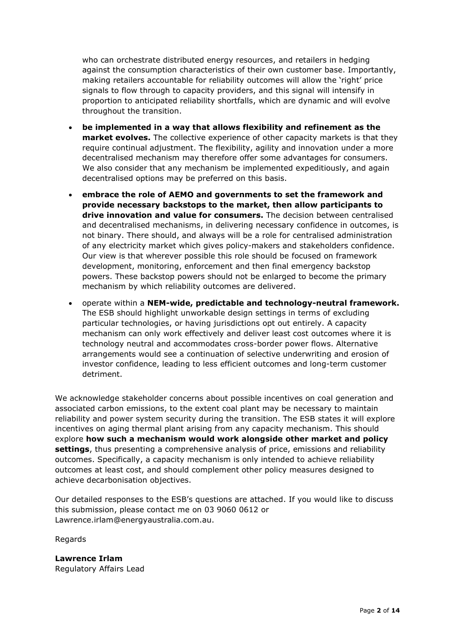who can orchestrate distributed energy resources, and retailers in hedging against the consumption characteristics of their own customer base. Importantly, making retailers accountable for reliability outcomes will allow the 'right' price signals to flow through to capacity providers, and this signal will intensify in proportion to anticipated reliability shortfalls, which are dynamic and will evolve throughout the transition.

- **be implemented in a way that allows flexibility and refinement as the market evolves.** The collective experience of other capacity markets is that they require continual adjustment. The flexibility, agility and innovation under a more decentralised mechanism may therefore offer some advantages for consumers. We also consider that any mechanism be implemented expeditiously, and again decentralised options may be preferred on this basis.
- **embrace the role of AEMO and governments to set the framework and provide necessary backstops to the market, then allow participants to drive innovation and value for consumers.** The decision between centralised and decentralised mechanisms, in delivering necessary confidence in outcomes, is not binary. There should, and always will be a role for centralised administration of any electricity market which gives policy-makers and stakeholders confidence. Our view is that wherever possible this role should be focused on framework development, monitoring, enforcement and then final emergency backstop powers. These backstop powers should not be enlarged to become the primary mechanism by which reliability outcomes are delivered.
- operate within a **NEM-wide, predictable and technology-neutral framework.** The ESB should highlight unworkable design settings in terms of excluding particular technologies, or having jurisdictions opt out entirely. A capacity mechanism can only work effectively and deliver least cost outcomes where it is technology neutral and accommodates cross-border power flows. Alternative arrangements would see a continuation of selective underwriting and erosion of investor confidence, leading to less efficient outcomes and long-term customer detriment.

We acknowledge stakeholder concerns about possible incentives on coal generation and associated carbon emissions, to the extent coal plant may be necessary to maintain reliability and power system security during the transition. The ESB states it will explore incentives on aging thermal plant arising from any capacity mechanism. This should explore **how such a mechanism would work alongside other market and policy settings**, thus presenting a comprehensive analysis of price, emissions and reliability outcomes. Specifically, a capacity mechanism is only intended to achieve reliability outcomes at least cost, and should complement other policy measures designed to achieve decarbonisation objectives.

Our detailed responses to the ESB's questions are attached. If you would like to discuss this submission, please contact me on 03 9060 0612 or Lawrence.irlam@energyaustralia.com.au.

Regards

**Lawrence Irlam** Regulatory Affairs Lead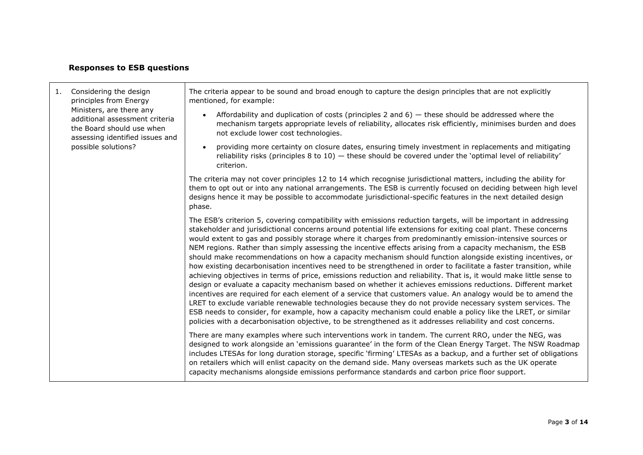## **Responses to ESB questions**

┯

| 1. | Considering the design<br>principles from Energy<br>Ministers, are there any<br>additional assessment criteria<br>the Board should use when<br>assessing identified issues and<br>possible solutions? | The criteria appear to be sound and broad enough to capture the design principles that are not explicitly<br>mentioned, for example:                                                                                                                                                                                                                                                                                                                                                                                                                                                                                                                                                                                                                                                                                                                                                                                                                                                                                                                                                                                                                                                                                                                                                                                                                                                                 |
|----|-------------------------------------------------------------------------------------------------------------------------------------------------------------------------------------------------------|------------------------------------------------------------------------------------------------------------------------------------------------------------------------------------------------------------------------------------------------------------------------------------------------------------------------------------------------------------------------------------------------------------------------------------------------------------------------------------------------------------------------------------------------------------------------------------------------------------------------------------------------------------------------------------------------------------------------------------------------------------------------------------------------------------------------------------------------------------------------------------------------------------------------------------------------------------------------------------------------------------------------------------------------------------------------------------------------------------------------------------------------------------------------------------------------------------------------------------------------------------------------------------------------------------------------------------------------------------------------------------------------------|
|    |                                                                                                                                                                                                       | Affordability and duplication of costs (principles 2 and $6$ ) $-$ these should be addressed where the<br>$\bullet$<br>mechanism targets appropriate levels of reliability, allocates risk efficiently, minimises burden and does<br>not exclude lower cost technologies.                                                                                                                                                                                                                                                                                                                                                                                                                                                                                                                                                                                                                                                                                                                                                                                                                                                                                                                                                                                                                                                                                                                            |
|    |                                                                                                                                                                                                       | providing more certainty on closure dates, ensuring timely investment in replacements and mitigating<br>$\bullet$<br>reliability risks (principles 8 to $10$ ) $-$ these should be covered under the 'optimal level of reliability'<br>criterion.                                                                                                                                                                                                                                                                                                                                                                                                                                                                                                                                                                                                                                                                                                                                                                                                                                                                                                                                                                                                                                                                                                                                                    |
|    |                                                                                                                                                                                                       | The criteria may not cover principles 12 to 14 which recognise jurisdictional matters, including the ability for<br>them to opt out or into any national arrangements. The ESB is currently focused on deciding between high level<br>designs hence it may be possible to accommodate jurisdictional-specific features in the next detailed design<br>phase.                                                                                                                                                                                                                                                                                                                                                                                                                                                                                                                                                                                                                                                                                                                                                                                                                                                                                                                                                                                                                                         |
|    |                                                                                                                                                                                                       | The ESB's criterion 5, covering compatibility with emissions reduction targets, will be important in addressing<br>stakeholder and jurisdictional concerns around potential life extensions for exiting coal plant. These concerns<br>would extent to gas and possibly storage where it charges from predominantly emission-intensive sources or<br>NEM regions. Rather than simply assessing the incentive effects arising from a capacity mechanism, the ESB<br>should make recommendations on how a capacity mechanism should function alongside existing incentives, or<br>how existing decarbonisation incentives need to be strengthened in order to facilitate a faster transition, while<br>achieving objectives in terms of price, emissions reduction and reliability. That is, it would make little sense to<br>design or evaluate a capacity mechanism based on whether it achieves emissions reductions. Different market<br>incentives are required for each element of a service that customers value. An analogy would be to amend the<br>LRET to exclude variable renewable technologies because they do not provide necessary system services. The<br>ESB needs to consider, for example, how a capacity mechanism could enable a policy like the LRET, or similar<br>policies with a decarbonisation objective, to be strengthened as it addresses reliability and cost concerns. |
|    |                                                                                                                                                                                                       | There are many examples where such interventions work in tandem. The current RRO, under the NEG, was<br>designed to work alongside an 'emissions guarantee' in the form of the Clean Energy Target. The NSW Roadmap<br>includes LTESAs for long duration storage, specific 'firming' LTESAs as a backup, and a further set of obligations<br>on retailers which will enlist capacity on the demand side. Many overseas markets such as the UK operate<br>capacity mechanisms alongside emissions performance standards and carbon price floor support.                                                                                                                                                                                                                                                                                                                                                                                                                                                                                                                                                                                                                                                                                                                                                                                                                                               |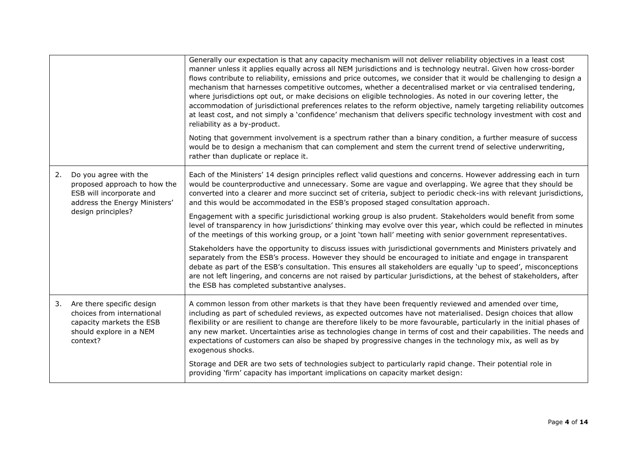|    |                                                                                                                            | Generally our expectation is that any capacity mechanism will not deliver reliability objectives in a least cost<br>manner unless it applies equally across all NEM jurisdictions and is technology neutral. Given how cross-border<br>flows contribute to reliability, emissions and price outcomes, we consider that it would be challenging to design a<br>mechanism that harnesses competitive outcomes, whether a decentralised market or via centralised tendering,<br>where jurisdictions opt out, or make decisions on eligible technologies. As noted in our covering letter, the<br>accommodation of jurisdictional preferences relates to the reform objective, namely targeting reliability outcomes<br>at least cost, and not simply a 'confidence' mechanism that delivers specific technology investment with cost and<br>reliability as a by-product.<br>Noting that government involvement is a spectrum rather than a binary condition, a further measure of success |
|----|----------------------------------------------------------------------------------------------------------------------------|----------------------------------------------------------------------------------------------------------------------------------------------------------------------------------------------------------------------------------------------------------------------------------------------------------------------------------------------------------------------------------------------------------------------------------------------------------------------------------------------------------------------------------------------------------------------------------------------------------------------------------------------------------------------------------------------------------------------------------------------------------------------------------------------------------------------------------------------------------------------------------------------------------------------------------------------------------------------------------------|
|    |                                                                                                                            | would be to design a mechanism that can complement and stem the current trend of selective underwriting,<br>rather than duplicate or replace it.                                                                                                                                                                                                                                                                                                                                                                                                                                                                                                                                                                                                                                                                                                                                                                                                                                       |
| 2. | Do you agree with the<br>proposed approach to how the<br>ESB will incorporate and<br>address the Energy Ministers'         | Each of the Ministers' 14 design principles reflect valid questions and concerns. However addressing each in turn<br>would be counterproductive and unnecessary. Some are vague and overlapping. We agree that they should be<br>converted into a clearer and more succinct set of criteria, subject to periodic check-ins with relevant jurisdictions,<br>and this would be accommodated in the ESB's proposed staged consultation approach.                                                                                                                                                                                                                                                                                                                                                                                                                                                                                                                                          |
|    | design principles?                                                                                                         | Engagement with a specific jurisdictional working group is also prudent. Stakeholders would benefit from some<br>level of transparency in how jurisdictions' thinking may evolve over this year, which could be reflected in minutes<br>of the meetings of this working group, or a joint 'town hall' meeting with senior government representatives.                                                                                                                                                                                                                                                                                                                                                                                                                                                                                                                                                                                                                                  |
|    |                                                                                                                            | Stakeholders have the opportunity to discuss issues with jurisdictional governments and Ministers privately and<br>separately from the ESB's process. However they should be encouraged to initiate and engage in transparent<br>debate as part of the ESB's consultation. This ensures all stakeholders are equally 'up to speed', misconceptions<br>are not left lingering, and concerns are not raised by particular jurisdictions, at the behest of stakeholders, after<br>the ESB has completed substantive analyses.                                                                                                                                                                                                                                                                                                                                                                                                                                                             |
| 3. | Are there specific design<br>choices from international<br>capacity markets the ESB<br>should explore in a NEM<br>context? | A common lesson from other markets is that they have been frequently reviewed and amended over time,<br>including as part of scheduled reviews, as expected outcomes have not materialised. Design choices that allow<br>flexibility or are resilient to change are therefore likely to be more favourable, particularly in the initial phases of<br>any new market. Uncertainties arise as technologies change in terms of cost and their capabilities. The needs and<br>expectations of customers can also be shaped by progressive changes in the technology mix, as well as by<br>exogenous shocks.                                                                                                                                                                                                                                                                                                                                                                                |
|    |                                                                                                                            | Storage and DER are two sets of technologies subject to particularly rapid change. Their potential role in<br>providing 'firm' capacity has important implications on capacity market design:                                                                                                                                                                                                                                                                                                                                                                                                                                                                                                                                                                                                                                                                                                                                                                                          |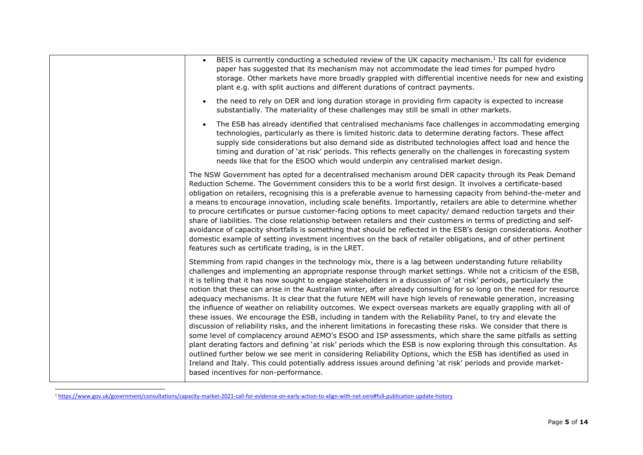| BEIS is currently conducting a scheduled review of the UK capacity mechanism. <sup>1</sup> Its call for evidence<br>$\bullet$<br>paper has suggested that its mechanism may not accommodate the lead times for pumped hydro<br>storage. Other markets have more broadly grappled with differential incentive needs for new and existing<br>plant e.g. with split auctions and different durations of contract payments.                                                                                                                                                                                                                                                                                                                                                                                                                                                                                                                                                                                                                                                                                                                                                                                                                                                                                                                                                                                                                                              |
|----------------------------------------------------------------------------------------------------------------------------------------------------------------------------------------------------------------------------------------------------------------------------------------------------------------------------------------------------------------------------------------------------------------------------------------------------------------------------------------------------------------------------------------------------------------------------------------------------------------------------------------------------------------------------------------------------------------------------------------------------------------------------------------------------------------------------------------------------------------------------------------------------------------------------------------------------------------------------------------------------------------------------------------------------------------------------------------------------------------------------------------------------------------------------------------------------------------------------------------------------------------------------------------------------------------------------------------------------------------------------------------------------------------------------------------------------------------------|
| the need to rely on DER and long duration storage in providing firm capacity is expected to increase<br>$\bullet$<br>substantially. The materiality of these challenges may still be small in other markets.                                                                                                                                                                                                                                                                                                                                                                                                                                                                                                                                                                                                                                                                                                                                                                                                                                                                                                                                                                                                                                                                                                                                                                                                                                                         |
| The ESB has already identified that centralised mechanisms face challenges in accommodating emerging<br>$\bullet$<br>technologies, particularly as there is limited historic data to determine derating factors. These affect<br>supply side considerations but also demand side as distributed technologies affect load and hence the<br>timing and duration of 'at risk' periods. This reflects generally on the challenges in forecasting system<br>needs like that for the ESOO which would underpin any centralised market design.                                                                                                                                                                                                                                                                                                                                                                                                                                                                                                                                                                                                                                                                                                                                                                                                                                                                                                                              |
| The NSW Government has opted for a decentralised mechanism around DER capacity through its Peak Demand<br>Reduction Scheme. The Government considers this to be a world first design. It involves a certificate-based<br>obligation on retailers, recognising this is a preferable avenue to harnessing capacity from behind-the-meter and<br>a means to encourage innovation, including scale benefits. Importantly, retailers are able to determine whether<br>to procure certificates or pursue customer-facing options to meet capacity/ demand reduction targets and their<br>share of liabilities. The close relationship between retailers and their customers in terms of predicting and self-<br>avoidance of capacity shortfalls is something that should be reflected in the ESB's design considerations. Another<br>domestic example of setting investment incentives on the back of retailer obligations, and of other pertinent<br>features such as certificate trading, is in the LRET.                                                                                                                                                                                                                                                                                                                                                                                                                                                               |
| Stemming from rapid changes in the technology mix, there is a lag between understanding future reliability<br>challenges and implementing an appropriate response through market settings. While not a criticism of the ESB,<br>it is telling that it has now sought to engage stakeholders in a discussion of 'at risk' periods, particularly the<br>notion that these can arise in the Australian winter, after already consulting for so long on the need for resource<br>adequacy mechanisms. It is clear that the future NEM will have high levels of renewable generation, increasing<br>the influence of weather on reliability outcomes. We expect overseas markets are equally grappling with all of<br>these issues. We encourage the ESB, including in tandem with the Reliability Panel, to try and elevate the<br>discussion of reliability risks, and the inherent limitations in forecasting these risks. We consider that there is<br>some level of complacency around AEMO's ESOO and ISP assessments, which share the same pitfalls as setting<br>plant derating factors and defining 'at risk' periods which the ESB is now exploring through this consultation. As<br>outlined further below we see merit in considering Reliability Options, which the ESB has identified as used in<br>Ireland and Italy. This could potentially address issues around defining 'at risk' periods and provide market-<br>based incentives for non-performance. |

<sup>1</sup> <https://www.gov.uk/government/consultations/capacity-market-2021-call-for-evidence-on-early-action-to-align-with-net-zero#full-publication-update-history>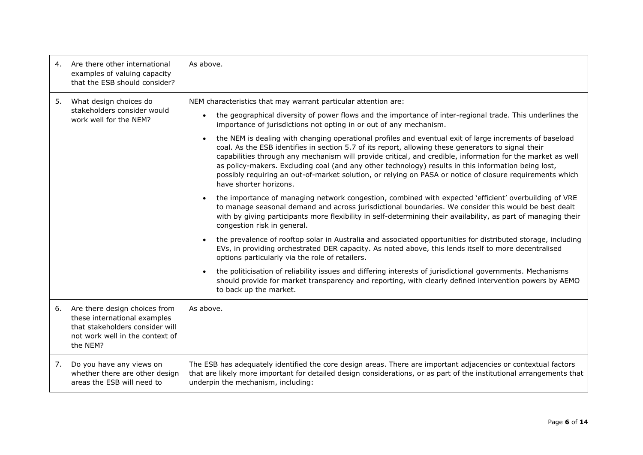| 4. | Are there other international<br>examples of valuing capacity<br>that the ESB should consider?                                                  | As above.                                                                                                                                                                                                                                                                                                                                                                                                                                                                                                                                                                              |
|----|-------------------------------------------------------------------------------------------------------------------------------------------------|----------------------------------------------------------------------------------------------------------------------------------------------------------------------------------------------------------------------------------------------------------------------------------------------------------------------------------------------------------------------------------------------------------------------------------------------------------------------------------------------------------------------------------------------------------------------------------------|
| 5. | What design choices do<br>stakeholders consider would<br>work well for the NEM?                                                                 | NEM characteristics that may warrant particular attention are:<br>the geographical diversity of power flows and the importance of inter-regional trade. This underlines the<br>$\bullet$<br>importance of jurisdictions not opting in or out of any mechanism.                                                                                                                                                                                                                                                                                                                         |
|    |                                                                                                                                                 | the NEM is dealing with changing operational profiles and eventual exit of large increments of baseload<br>$\bullet$<br>coal. As the ESB identifies in section 5.7 of its report, allowing these generators to signal their<br>capabilities through any mechanism will provide critical, and credible, information for the market as well<br>as policy-makers. Excluding coal (and any other technology) results in this information being lost,<br>possibly requiring an out-of-market solution, or relying on PASA or notice of closure requirements which<br>have shorter horizons. |
|    |                                                                                                                                                 | the importance of managing network congestion, combined with expected 'efficient' overbuilding of VRE<br>$\bullet$<br>to manage seasonal demand and across jurisdictional boundaries. We consider this would be best dealt<br>with by giving participants more flexibility in self-determining their availability, as part of managing their<br>congestion risk in general.                                                                                                                                                                                                            |
|    |                                                                                                                                                 | the prevalence of rooftop solar in Australia and associated opportunities for distributed storage, including<br>EVs, in providing orchestrated DER capacity. As noted above, this lends itself to more decentralised<br>options particularly via the role of retailers.                                                                                                                                                                                                                                                                                                                |
|    |                                                                                                                                                 | the politicisation of reliability issues and differing interests of jurisdictional governments. Mechanisms<br>$\bullet$<br>should provide for market transparency and reporting, with clearly defined intervention powers by AEMO<br>to back up the market.                                                                                                                                                                                                                                                                                                                            |
| 6. | Are there design choices from<br>these international examples<br>that stakeholders consider will<br>not work well in the context of<br>the NEM? | As above.                                                                                                                                                                                                                                                                                                                                                                                                                                                                                                                                                                              |
| 7. | Do you have any views on<br>whether there are other design<br>areas the ESB will need to                                                        | The ESB has adequately identified the core design areas. There are important adjacencies or contextual factors<br>that are likely more important for detailed design considerations, or as part of the institutional arrangements that<br>underpin the mechanism, including:                                                                                                                                                                                                                                                                                                           |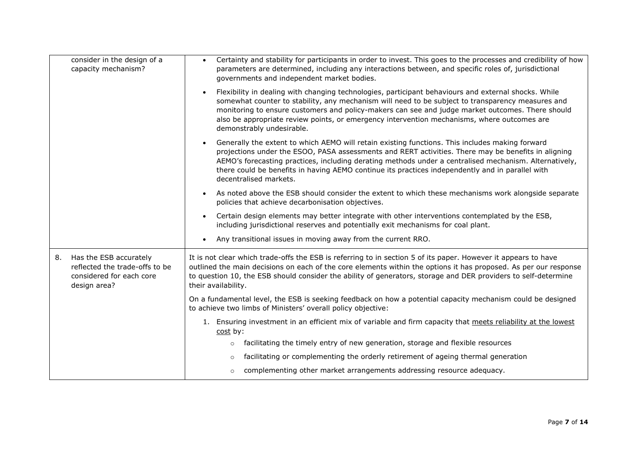| consider in the design of a<br>capacity mechanism?                                                         | Certainty and stability for participants in order to invest. This goes to the processes and credibility of how<br>$\bullet$<br>parameters are determined, including any interactions between, and specific roles of, jurisdictional<br>governments and independent market bodies.                                                                                                                                                                           |
|------------------------------------------------------------------------------------------------------------|-------------------------------------------------------------------------------------------------------------------------------------------------------------------------------------------------------------------------------------------------------------------------------------------------------------------------------------------------------------------------------------------------------------------------------------------------------------|
|                                                                                                            | Flexibility in dealing with changing technologies, participant behaviours and external shocks. While<br>$\bullet$<br>somewhat counter to stability, any mechanism will need to be subject to transparency measures and<br>monitoring to ensure customers and policy-makers can see and judge market outcomes. There should<br>also be appropriate review points, or emergency intervention mechanisms, where outcomes are<br>demonstrably undesirable.      |
|                                                                                                            | Generally the extent to which AEMO will retain existing functions. This includes making forward<br>$\bullet$<br>projections under the ESOO, PASA assessments and RERT activities. There may be benefits in aligning<br>AEMO's forecasting practices, including derating methods under a centralised mechanism. Alternatively,<br>there could be benefits in having AEMO continue its practices independently and in parallel with<br>decentralised markets. |
|                                                                                                            | As noted above the ESB should consider the extent to which these mechanisms work alongside separate<br>$\bullet$<br>policies that achieve decarbonisation objectives.                                                                                                                                                                                                                                                                                       |
|                                                                                                            | Certain design elements may better integrate with other interventions contemplated by the ESB,<br>$\bullet$<br>including jurisdictional reserves and potentially exit mechanisms for coal plant.                                                                                                                                                                                                                                                            |
|                                                                                                            | Any transitional issues in moving away from the current RRO.<br>$\bullet$                                                                                                                                                                                                                                                                                                                                                                                   |
| Has the ESB accurately<br>8.<br>reflected the trade-offs to be<br>considered for each core<br>design area? | It is not clear which trade-offs the ESB is referring to in section 5 of its paper. However it appears to have<br>outlined the main decisions on each of the core elements within the options it has proposed. As per our response<br>to question 10, the ESB should consider the ability of generators, storage and DER providers to self-determine<br>their availability.                                                                                 |
|                                                                                                            | On a fundamental level, the ESB is seeking feedback on how a potential capacity mechanism could be designed<br>to achieve two limbs of Ministers' overall policy objective:                                                                                                                                                                                                                                                                                 |
|                                                                                                            | 1. Ensuring investment in an efficient mix of variable and firm capacity that meets reliability at the lowest<br>cost by:                                                                                                                                                                                                                                                                                                                                   |
|                                                                                                            | facilitating the timely entry of new generation, storage and flexible resources<br>$\circ$                                                                                                                                                                                                                                                                                                                                                                  |
|                                                                                                            | facilitating or complementing the orderly retirement of ageing thermal generation<br>$\circ$                                                                                                                                                                                                                                                                                                                                                                |
|                                                                                                            | complementing other market arrangements addressing resource adequacy.<br>$\circ$                                                                                                                                                                                                                                                                                                                                                                            |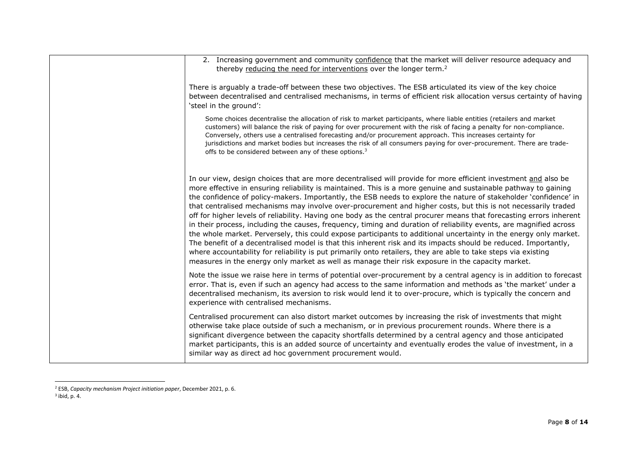| 2. Increasing government and community confidence that the market will deliver resource adequacy and<br>thereby reducing the need for interventions over the longer term. <sup>2</sup><br>There is arguably a trade-off between these two objectives. The ESB articulated its view of the key choice<br>between decentralised and centralised mechanisms, in terms of efficient risk allocation versus certainty of having                                                                                                                                                                                                                                                                                                                                                                                                                                                                                                                                                                                                                                                                                                                                                         |
|------------------------------------------------------------------------------------------------------------------------------------------------------------------------------------------------------------------------------------------------------------------------------------------------------------------------------------------------------------------------------------------------------------------------------------------------------------------------------------------------------------------------------------------------------------------------------------------------------------------------------------------------------------------------------------------------------------------------------------------------------------------------------------------------------------------------------------------------------------------------------------------------------------------------------------------------------------------------------------------------------------------------------------------------------------------------------------------------------------------------------------------------------------------------------------|
|                                                                                                                                                                                                                                                                                                                                                                                                                                                                                                                                                                                                                                                                                                                                                                                                                                                                                                                                                                                                                                                                                                                                                                                    |
| 'steel in the ground':                                                                                                                                                                                                                                                                                                                                                                                                                                                                                                                                                                                                                                                                                                                                                                                                                                                                                                                                                                                                                                                                                                                                                             |
| Some choices decentralise the allocation of risk to market participants, where liable entities (retailers and market<br>customers) will balance the risk of paying for over procurement with the risk of facing a penalty for non-compliance.<br>Conversely, others use a centralised forecasting and/or procurement approach. This increases certainty for<br>jurisdictions and market bodies but increases the risk of all consumers paying for over-procurement. There are trade-<br>offs to be considered between any of these options. <sup>3</sup>                                                                                                                                                                                                                                                                                                                                                                                                                                                                                                                                                                                                                           |
| In our view, design choices that are more decentralised will provide for more efficient investment and also be<br>more effective in ensuring reliability is maintained. This is a more genuine and sustainable pathway to gaining<br>the confidence of policy-makers. Importantly, the ESB needs to explore the nature of stakeholder 'confidence' in<br>that centralised mechanisms may involve over-procurement and higher costs, but this is not necessarily traded<br>off for higher levels of reliability. Having one body as the central procurer means that forecasting errors inherent<br>in their process, including the causes, frequency, timing and duration of reliability events, are magnified across<br>the whole market. Perversely, this could expose participants to additional uncertainty in the energy only market.<br>The benefit of a decentralised model is that this inherent risk and its impacts should be reduced. Importantly,<br>where accountability for reliability is put primarily onto retailers, they are able to take steps via existing<br>measures in the energy only market as well as manage their risk exposure in the capacity market. |
| Note the issue we raise here in terms of potential over-procurement by a central agency is in addition to forecast<br>error. That is, even if such an agency had access to the same information and methods as 'the market' under a<br>decentralised mechanism, its aversion to risk would lend it to over-procure, which is typically the concern and<br>experience with centralised mechanisms.                                                                                                                                                                                                                                                                                                                                                                                                                                                                                                                                                                                                                                                                                                                                                                                  |
| Centralised procurement can also distort market outcomes by increasing the risk of investments that might<br>otherwise take place outside of such a mechanism, or in previous procurement rounds. Where there is a<br>significant divergence between the capacity shortfalls determined by a central agency and those anticipated<br>market participants, this is an added source of uncertainty and eventually erodes the value of investment, in a<br>similar way as direct ad hoc government procurement would.                                                                                                                                                                                                                                                                                                                                                                                                                                                                                                                                                                                                                                                                 |

<sup>2</sup> ESB, *Capacity mechanism Project initiation paper*, December 2021, p. 6.

 $3$  ibid, p. 4.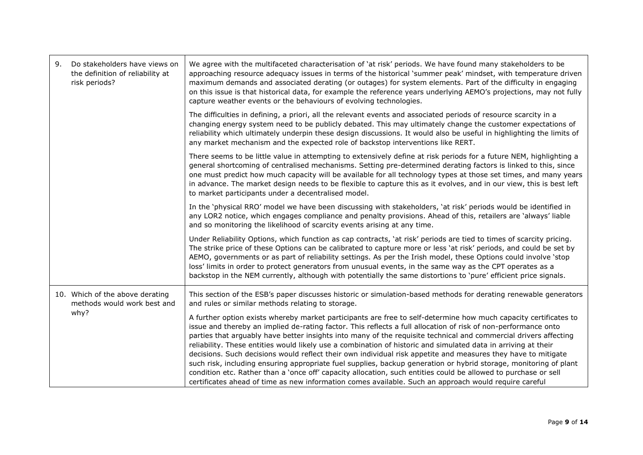| 9.<br>Do stakeholders have views on<br>the definition of reliability at<br>risk periods? | We agree with the multifaceted characterisation of 'at risk' periods. We have found many stakeholders to be<br>approaching resource adequacy issues in terms of the historical 'summer peak' mindset, with temperature driven<br>maximum demands and associated derating (or outages) for system elements. Part of the difficulty in engaging<br>on this issue is that historical data, for example the reference years underlying AEMO's projections, may not fully<br>capture weather events or the behaviours of evolving technologies.                                                                                                                                                                                                                                                                                                                                                                                                 |
|------------------------------------------------------------------------------------------|--------------------------------------------------------------------------------------------------------------------------------------------------------------------------------------------------------------------------------------------------------------------------------------------------------------------------------------------------------------------------------------------------------------------------------------------------------------------------------------------------------------------------------------------------------------------------------------------------------------------------------------------------------------------------------------------------------------------------------------------------------------------------------------------------------------------------------------------------------------------------------------------------------------------------------------------|
|                                                                                          | The difficulties in defining, a priori, all the relevant events and associated periods of resource scarcity in a<br>changing energy system need to be publicly debated. This may ultimately change the customer expectations of<br>reliability which ultimately underpin these design discussions. It would also be useful in highlighting the limits of<br>any market mechanism and the expected role of backstop interventions like RERT.                                                                                                                                                                                                                                                                                                                                                                                                                                                                                                |
|                                                                                          | There seems to be little value in attempting to extensively define at risk periods for a future NEM, highlighting a<br>general shortcoming of centralised mechanisms. Setting pre-determined derating factors is linked to this, since<br>one must predict how much capacity will be available for all technology types at those set times, and many years<br>in advance. The market design needs to be flexible to capture this as it evolves, and in our view, this is best left<br>to market participants under a decentralised model.                                                                                                                                                                                                                                                                                                                                                                                                  |
|                                                                                          | In the 'physical RRO' model we have been discussing with stakeholders, 'at risk' periods would be identified in<br>any LOR2 notice, which engages compliance and penalty provisions. Ahead of this, retailers are 'always' liable<br>and so monitoring the likelihood of scarcity events arising at any time.                                                                                                                                                                                                                                                                                                                                                                                                                                                                                                                                                                                                                              |
|                                                                                          | Under Reliability Options, which function as cap contracts, 'at risk' periods are tied to times of scarcity pricing.<br>The strike price of these Options can be calibrated to capture more or less 'at risk' periods, and could be set by<br>AEMO, governments or as part of reliability settings. As per the Irish model, these Options could involve 'stop<br>loss' limits in order to protect generators from unusual events, in the same way as the CPT operates as a<br>backstop in the NEM currently, although with potentially the same distortions to 'pure' efficient price signals.                                                                                                                                                                                                                                                                                                                                             |
| 10. Which of the above derating<br>methods would work best and                           | This section of the ESB's paper discusses historic or simulation-based methods for derating renewable generators<br>and rules or similar methods relating to storage.                                                                                                                                                                                                                                                                                                                                                                                                                                                                                                                                                                                                                                                                                                                                                                      |
| why?                                                                                     | A further option exists whereby market participants are free to self-determine how much capacity certificates to<br>issue and thereby an implied de-rating factor. This reflects a full allocation of risk of non-performance onto<br>parties that arguably have better insights into many of the requisite technical and commercial drivers affecting<br>reliability. These entities would likely use a combination of historic and simulated data in arriving at their<br>decisions. Such decisions would reflect their own individual risk appetite and measures they have to mitigate<br>such risk, including ensuring appropriate fuel supplies, backup generation or hybrid storage, monitoring of plant<br>condition etc. Rather than a 'once off' capacity allocation, such entities could be allowed to purchase or sell<br>certificates ahead of time as new information comes available. Such an approach would require careful |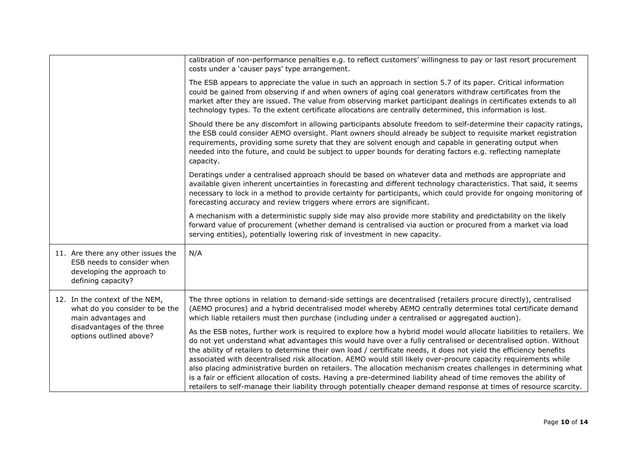|                                                                                                                      | calibration of non-performance penalties e.g. to reflect customers' willingness to pay or last resort procurement<br>costs under a 'causer pays' type arrangement.                                                                                                                                                                                                                                                                                                                                                                                                                                                                                                                                                                                                                                                                                 |
|----------------------------------------------------------------------------------------------------------------------|----------------------------------------------------------------------------------------------------------------------------------------------------------------------------------------------------------------------------------------------------------------------------------------------------------------------------------------------------------------------------------------------------------------------------------------------------------------------------------------------------------------------------------------------------------------------------------------------------------------------------------------------------------------------------------------------------------------------------------------------------------------------------------------------------------------------------------------------------|
|                                                                                                                      | The ESB appears to appreciate the value in such an approach in section 5.7 of its paper. Critical information<br>could be gained from observing if and when owners of aging coal generators withdraw certificates from the<br>market after they are issued. The value from observing market participant dealings in certificates extends to all<br>technology types. To the extent certificate allocations are centrally determined, this information is lost.                                                                                                                                                                                                                                                                                                                                                                                     |
|                                                                                                                      | Should there be any discomfort in allowing participants absolute freedom to self-determine their capacity ratings,<br>the ESB could consider AEMO oversight. Plant owners should already be subject to requisite market registration<br>requirements, providing some surety that they are solvent enough and capable in generating output when<br>needed into the future, and could be subject to upper bounds for derating factors e.g. reflecting nameplate<br>capacity.                                                                                                                                                                                                                                                                                                                                                                         |
|                                                                                                                      | Deratings under a centralised approach should be based on whatever data and methods are appropriate and<br>available given inherent uncertainties in forecasting and different technology characteristics. That said, it seems<br>necessary to lock in a method to provide certainty for participants, which could provide for ongoing monitoring of<br>forecasting accuracy and review triggers where errors are significant.                                                                                                                                                                                                                                                                                                                                                                                                                     |
|                                                                                                                      | A mechanism with a deterministic supply side may also provide more stability and predictability on the likely<br>forward value of procurement (whether demand is centralised via auction or procured from a market via load<br>serving entities), potentially lowering risk of investment in new capacity.                                                                                                                                                                                                                                                                                                                                                                                                                                                                                                                                         |
| 11. Are there any other issues the<br>ESB needs to consider when<br>developing the approach to<br>defining capacity? | N/A                                                                                                                                                                                                                                                                                                                                                                                                                                                                                                                                                                                                                                                                                                                                                                                                                                                |
| 12. In the context of the NEM,<br>what do you consider to be the<br>main advantages and                              | The three options in relation to demand-side settings are decentralised (retailers procure directly), centralised<br>(AEMO procures) and a hybrid decentralised model whereby AEMO centrally determines total certificate demand<br>which liable retailers must then purchase (including under a centralised or aggregated auction).                                                                                                                                                                                                                                                                                                                                                                                                                                                                                                               |
| disadvantages of the three<br>options outlined above?                                                                | As the ESB notes, further work is required to explore how a hybrid model would allocate liabilities to retailers. We<br>do not yet understand what advantages this would have over a fully centralised or decentralised option. Without<br>the ability of retailers to determine their own load / certificate needs, it does not yield the efficiency benefits<br>associated with decentralised risk allocation. AEMO would still likely over-procure capacity requirements while<br>also placing administrative burden on retailers. The allocation mechanism creates challenges in determining what<br>is a fair or efficient allocation of costs. Having a pre-determined liability ahead of time removes the ability of<br>retailers to self-manage their liability through potentially cheaper demand response at times of resource scarcity. |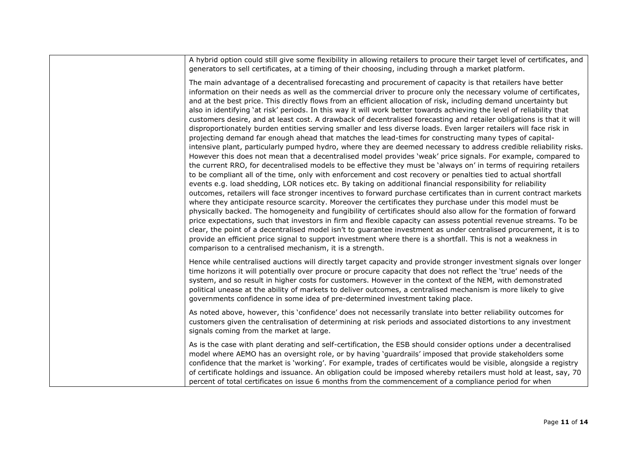| A hybrid option could still give some flexibility in allowing retailers to procure their target level of certificates, and<br>generators to sell certificates, at a timing of their choosing, including through a market platform.                                                                                                                                                                                                                                                                                                                                                                                                                                                                                                                                                                                                                                                                                                                                                                                                                                                                                                                                                                                                                                                                                                                                                                                                                                                                                                                                                                                                                                                                                                                                                                                                                                                                                                                                                                                                                                                                                                                                                                                       |
|--------------------------------------------------------------------------------------------------------------------------------------------------------------------------------------------------------------------------------------------------------------------------------------------------------------------------------------------------------------------------------------------------------------------------------------------------------------------------------------------------------------------------------------------------------------------------------------------------------------------------------------------------------------------------------------------------------------------------------------------------------------------------------------------------------------------------------------------------------------------------------------------------------------------------------------------------------------------------------------------------------------------------------------------------------------------------------------------------------------------------------------------------------------------------------------------------------------------------------------------------------------------------------------------------------------------------------------------------------------------------------------------------------------------------------------------------------------------------------------------------------------------------------------------------------------------------------------------------------------------------------------------------------------------------------------------------------------------------------------------------------------------------------------------------------------------------------------------------------------------------------------------------------------------------------------------------------------------------------------------------------------------------------------------------------------------------------------------------------------------------------------------------------------------------------------------------------------------------|
| The main advantage of a decentralised forecasting and procurement of capacity is that retailers have better<br>information on their needs as well as the commercial driver to procure only the necessary volume of certificates,<br>and at the best price. This directly flows from an efficient allocation of risk, including demand uncertainty but<br>also in identifying 'at risk' periods. In this way it will work better towards achieving the level of reliability that<br>customers desire, and at least cost. A drawback of decentralised forecasting and retailer obligations is that it will<br>disproportionately burden entities serving smaller and less diverse loads. Even larger retailers will face risk in<br>projecting demand far enough ahead that matches the lead-times for constructing many types of capital-<br>intensive plant, particularly pumped hydro, where they are deemed necessary to address credible reliability risks.<br>However this does not mean that a decentralised model provides 'weak' price signals. For example, compared to<br>the current RRO, for decentralised models to be effective they must be 'always on' in terms of requiring retailers<br>to be compliant all of the time, only with enforcement and cost recovery or penalties tied to actual shortfall<br>events e.g. load shedding, LOR notices etc. By taking on additional financial responsibility for reliability<br>outcomes, retailers will face stronger incentives to forward purchase certificates than in current contract markets<br>where they anticipate resource scarcity. Moreover the certificates they purchase under this model must be<br>physically backed. The homogeneity and fungibility of certificates should also allow for the formation of forward<br>price expectations, such that investors in firm and flexible capacity can assess potential revenue streams. To be<br>clear, the point of a decentralised model isn't to guarantee investment as under centralised procurement, it is to<br>provide an efficient price signal to support investment where there is a shortfall. This is not a weakness in<br>comparison to a centralised mechanism, it is a strength. |
| Hence while centralised auctions will directly target capacity and provide stronger investment signals over longer<br>time horizons it will potentially over procure or procure capacity that does not reflect the 'true' needs of the<br>system, and so result in higher costs for customers. However in the context of the NEM, with demonstrated<br>political unease at the ability of markets to deliver outcomes, a centralised mechanism is more likely to give<br>governments confidence in some idea of pre-determined investment taking place.                                                                                                                                                                                                                                                                                                                                                                                                                                                                                                                                                                                                                                                                                                                                                                                                                                                                                                                                                                                                                                                                                                                                                                                                                                                                                                                                                                                                                                                                                                                                                                                                                                                                  |
| As noted above, however, this 'confidence' does not necessarily translate into better reliability outcomes for<br>customers given the centralisation of determining at risk periods and associated distortions to any investment<br>signals coming from the market at large.                                                                                                                                                                                                                                                                                                                                                                                                                                                                                                                                                                                                                                                                                                                                                                                                                                                                                                                                                                                                                                                                                                                                                                                                                                                                                                                                                                                                                                                                                                                                                                                                                                                                                                                                                                                                                                                                                                                                             |
| As is the case with plant derating and self-certification, the ESB should consider options under a decentralised<br>model where AEMO has an oversight role, or by having 'guardrails' imposed that provide stakeholders some<br>confidence that the market is 'working'. For example, trades of certificates would be visible, alongside a registry<br>of certificate holdings and issuance. An obligation could be imposed whereby retailers must hold at least, say, 70<br>percent of total certificates on issue 6 months from the commencement of a compliance period for when                                                                                                                                                                                                                                                                                                                                                                                                                                                                                                                                                                                                                                                                                                                                                                                                                                                                                                                                                                                                                                                                                                                                                                                                                                                                                                                                                                                                                                                                                                                                                                                                                                       |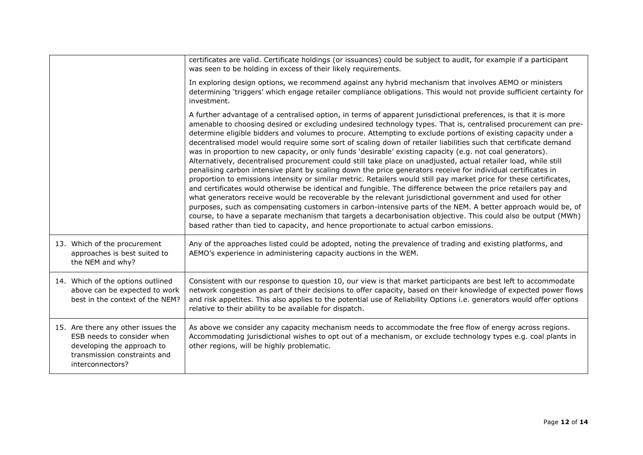|                                                                                                                                                    | certificates are valid. Certificate holdings (or issuances) could be subject to audit, for example if a participant<br>was seen to be holding in excess of their likely requirements.                                                                                                                                                                                                                                                                                                                                                                                                                                                                                                                                                                                                                                                                                                                                                                                                                                                                                                                                                                                                                                                                                                                                                                                                                                                                                                                            |
|----------------------------------------------------------------------------------------------------------------------------------------------------|------------------------------------------------------------------------------------------------------------------------------------------------------------------------------------------------------------------------------------------------------------------------------------------------------------------------------------------------------------------------------------------------------------------------------------------------------------------------------------------------------------------------------------------------------------------------------------------------------------------------------------------------------------------------------------------------------------------------------------------------------------------------------------------------------------------------------------------------------------------------------------------------------------------------------------------------------------------------------------------------------------------------------------------------------------------------------------------------------------------------------------------------------------------------------------------------------------------------------------------------------------------------------------------------------------------------------------------------------------------------------------------------------------------------------------------------------------------------------------------------------------------|
|                                                                                                                                                    | In exploring design options, we recommend against any hybrid mechanism that involves AEMO or ministers<br>determining 'triggers' which engage retailer compliance obligations. This would not provide sufficient certainty for<br>investment.                                                                                                                                                                                                                                                                                                                                                                                                                                                                                                                                                                                                                                                                                                                                                                                                                                                                                                                                                                                                                                                                                                                                                                                                                                                                    |
|                                                                                                                                                    | A further advantage of a centralised option, in terms of apparent jurisdictional preferences, is that it is more<br>amenable to choosing desired or excluding undesired technology types. That is, centralised procurement can pre-<br>determine eligible bidders and volumes to procure. Attempting to exclude portions of existing capacity under a<br>decentralised model would require some sort of scaling down of retailer liabilities such that certificate demand<br>was in proportion to new capacity, or only funds 'desirable' existing capacity (e.g. not coal generators).<br>Alternatively, decentralised procurement could still take place on unadjusted, actual retailer load, while still<br>penalising carbon intensive plant by scaling down the price generators receive for individual certificates in<br>proportion to emissions intensity or similar metric. Retailers would still pay market price for these certificates,<br>and certificates would otherwise be identical and fungible. The difference between the price retailers pay and<br>what generators receive would be recoverable by the relevant jurisdictional government and used for other<br>purposes, such as compensating customers in carbon-intensive parts of the NEM. A better approach would be, of<br>course, to have a separate mechanism that targets a decarbonisation objective. This could also be output (MWh)<br>based rather than tied to capacity, and hence proportionate to actual carbon emissions. |
| 13. Which of the procurement<br>approaches is best suited to<br>the NEM and why?                                                                   | Any of the approaches listed could be adopted, noting the prevalence of trading and existing platforms, and<br>AEMO's experience in administering capacity auctions in the WEM.                                                                                                                                                                                                                                                                                                                                                                                                                                                                                                                                                                                                                                                                                                                                                                                                                                                                                                                                                                                                                                                                                                                                                                                                                                                                                                                                  |
| 14. Which of the options outlined<br>above can be expected to work<br>best in the context of the NEM?                                              | Consistent with our response to question 10, our view is that market participants are best left to accommodate<br>network congestion as part of their decisions to offer capacity, based on their knowledge of expected power flows<br>and risk appetites. This also applies to the potential use of Reliability Options i.e. generators would offer options<br>relative to their ability to be available for dispatch.                                                                                                                                                                                                                                                                                                                                                                                                                                                                                                                                                                                                                                                                                                                                                                                                                                                                                                                                                                                                                                                                                          |
| 15. Are there any other issues the<br>ESB needs to consider when<br>developing the approach to<br>transmission constraints and<br>interconnectors? | As above we consider any capacity mechanism needs to accommodate the free flow of energy across regions.<br>Accommodating jurisdictional wishes to opt out of a mechanism, or exclude technology types e.g. coal plants in<br>other regions, will be highly problematic.                                                                                                                                                                                                                                                                                                                                                                                                                                                                                                                                                                                                                                                                                                                                                                                                                                                                                                                                                                                                                                                                                                                                                                                                                                         |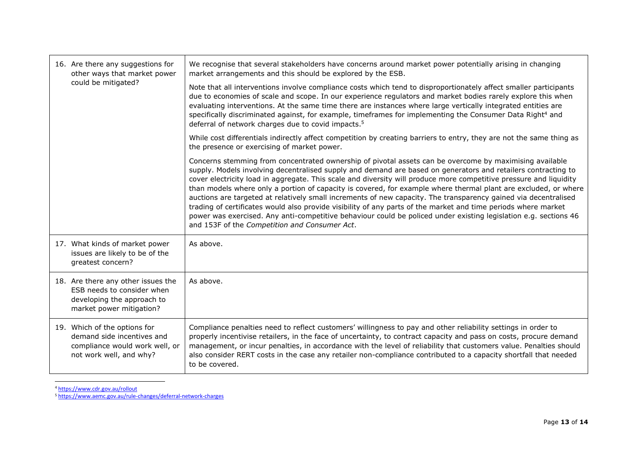| 16. Are there any suggestions for<br>other ways that market power                                                          | We recognise that several stakeholders have concerns around market power potentially arising in changing<br>market arrangements and this should be explored by the ESB.                                                                                                                                                                                                                                                                                                                                                                                                                                                                                                                                                                                                                                                                                                     |
|----------------------------------------------------------------------------------------------------------------------------|-----------------------------------------------------------------------------------------------------------------------------------------------------------------------------------------------------------------------------------------------------------------------------------------------------------------------------------------------------------------------------------------------------------------------------------------------------------------------------------------------------------------------------------------------------------------------------------------------------------------------------------------------------------------------------------------------------------------------------------------------------------------------------------------------------------------------------------------------------------------------------|
| could be mitigated?                                                                                                        | Note that all interventions involve compliance costs which tend to disproportionately affect smaller participants<br>due to economies of scale and scope. In our experience regulators and market bodies rarely explore this when<br>evaluating interventions. At the same time there are instances where large vertically integrated entities are<br>specifically discriminated against, for example, timeframes for implementing the Consumer Data Right <sup>4</sup> and<br>deferral of network charges due to covid impacts. <sup>5</sup>                                                                                                                                                                                                                                                                                                                               |
|                                                                                                                            | While cost differentials indirectly affect competition by creating barriers to entry, they are not the same thing as<br>the presence or exercising of market power.                                                                                                                                                                                                                                                                                                                                                                                                                                                                                                                                                                                                                                                                                                         |
|                                                                                                                            | Concerns stemming from concentrated ownership of pivotal assets can be overcome by maximising available<br>supply. Models involving decentralised supply and demand are based on generators and retailers contracting to<br>cover electricity load in aggregate. This scale and diversity will produce more competitive pressure and liquidity<br>than models where only a portion of capacity is covered, for example where thermal plant are excluded, or where<br>auctions are targeted at relatively small increments of new capacity. The transparency gained via decentralised<br>trading of certificates would also provide visibility of any parts of the market and time periods where market<br>power was exercised. Any anti-competitive behaviour could be policed under existing legislation e.g. sections 46<br>and 153F of the Competition and Consumer Act. |
| 17. What kinds of market power<br>issues are likely to be of the<br>greatest concern?                                      | As above.                                                                                                                                                                                                                                                                                                                                                                                                                                                                                                                                                                                                                                                                                                                                                                                                                                                                   |
| 18. Are there any other issues the<br>ESB needs to consider when<br>developing the approach to<br>market power mitigation? | As above.                                                                                                                                                                                                                                                                                                                                                                                                                                                                                                                                                                                                                                                                                                                                                                                                                                                                   |
| 19. Which of the options for<br>demand side incentives and<br>compliance would work well, or<br>not work well, and why?    | Compliance penalties need to reflect customers' willingness to pay and other reliability settings in order to<br>properly incentivise retailers, in the face of uncertainty, to contract capacity and pass on costs, procure demand<br>management, or incur penalties, in accordance with the level of reliability that customers value. Penalties should<br>also consider RERT costs in the case any retailer non-compliance contributed to a capacity shortfall that needed<br>to be covered.                                                                                                                                                                                                                                                                                                                                                                             |

<sup>4</sup> <https://www.cdr.gov.au/rollout>

<sup>5</sup> <https://www.aemc.gov.au/rule-changes/deferral-network-charges>